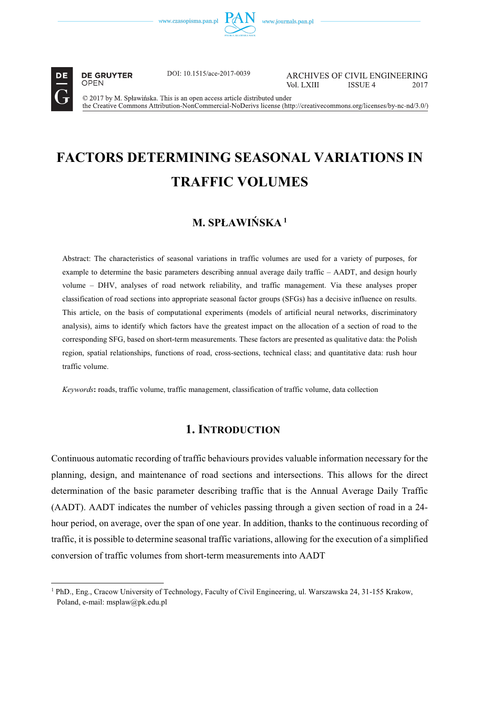



----------------------------------------------------------

**DE GRUYTER** OPEN

DOI: 10.1515/ace-2017-0039

ARCHIVES OF CIVIL ENGINEERING Vol. LXIII **ISSUE 4** 2017

© 2017 by M. Spławińska. This is an open access article distributed under the Creative Commons Attribution-NonCommercial-NoDerivs license (http://creativecommons.org/licenses/by-nc-nd/3.0/)

# **FACTORS DETERMINING SEASONAL VARIATIONS IN TRAFFIC VOLUMES**

## $M$ **, SPŁAWIŃSKA 1**

Abstract: The characteristics of seasonal variations in traffic volumes are used for a variety of purposes, for example to determine the basic parameters describing annual average daily traffic – AADT, and design hourly volume – DHV, analyses of road network reliability, and traffic management. Via these analyses proper classification of road sections into appropriate seasonal factor groups (SFGs) has a decisive influence on results. This article, on the basis of computational experiments (models of artificial neural networks, discriminatory analysis), aims to identify which factors have the greatest impact on the allocation of a section of road to the corresponding SFG, based on short-term measurements. These factors are presented as qualitative data: the Polish region, spatial relationships, functions of road, cross-sections, technical class; and quantitative data: rush hour traffic volume.

*Keywords***:** roads, traffic volume, traffic management, classification of traffic volume, data collection

## **1. INTRODUCTION**

Continuous automatic recording of traffic behaviours provides valuable information necessary for the planning, design, and maintenance of road sections and intersections. This allows for the direct determination of the basic parameter describing traffic that is the Annual Average Daily Traffic (AADT). AADT indicates the number of vehicles passing through a given section of road in a 24 hour period, on average, over the span of one year. In addition, thanks to the continuous recording of traffic, it is possible to determine seasonal traffic variations, allowing for the execution of a simplified conversion of traffic volumes from short-term measurements into AADT

<sup>&</sup>lt;sup>1</sup> PhD., Eng., Cracow University of Technology, Faculty of Civil Engineering, ul. Warszawska 24, 31-155 Krakow, Poland, e-mail: msplaw@pk.edu.pl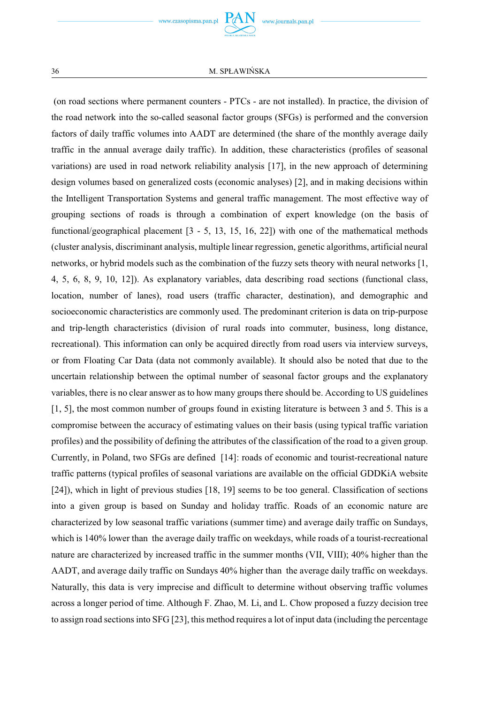(on road sections where permanent counters - PTCs - are not installed). In practice, the division of the road network into the so-called seasonal factor groups (SFGs) is performed and the conversion factors of daily traffic volumes into AADT are determined (the share of the monthly average daily traffic in the annual average daily traffic). In addition, these characteristics (profiles of seasonal variations) are used in road network reliability analysis [17], in the new approach of determining design volumes based on generalized costs (economic analyses) [2], and in making decisions within the Intelligent Transportation Systems and general traffic management. The most effective way of grouping sections of roads is through a combination of expert knowledge (on the basis of functional/geographical placement  $[3 - 5, 13, 15, 16, 22]$  with one of the mathematical methods (cluster analysis, discriminant analysis, multiple linear regression, genetic algorithms, artificial neural networks, or hybrid models such as the combination of the fuzzy sets theory with neural networks [1, 4, 5, 6, 8, 9, 10, 12]). As explanatory variables, data describing road sections (functional class, location, number of lanes), road users (traffic character, destination), and demographic and socioeconomic characteristics are commonly used. The predominant criterion is data on trip-purpose and trip-length characteristics (division of rural roads into commuter, business, long distance, recreational). This information can only be acquired directly from road users via interview surveys, or from Floating Car Data (data not commonly available). It should also be noted that due to the uncertain relationship between the optimal number of seasonal factor groups and the explanatory variables, there is no clear answer as to how many groups there should be. According to US guidelines [1, 5], the most common number of groups found in existing literature is between 3 and 5. This is a compromise between the accuracy of estimating values on their basis (using typical traffic variation profiles) and the possibility of defining the attributes of the classification of the road to a given group. Currently, in Poland, two SFGs are defined [14]: roads of economic and tourist-recreational nature traffic patterns (typical profiles of seasonal variations are available on the official GDDKiA website [24]), which in light of previous studies [18, 19] seems to be too general. Classification of sections into a given group is based on Sunday and holiday traffic. Roads of an economic nature are characterized by low seasonal traffic variations (summer time) and average daily traffic on Sundays, which is 140% lower than the average daily traffic on weekdays, while roads of a tourist-recreational nature are characterized by increased traffic in the summer months (VII, VIII); 40% higher than the AADT, and average daily traffic on Sundays 40% higher than the average daily traffic on weekdays. Naturally, this data is very imprecise and difficult to determine without observing traffic volumes across a longer period of time. Although F. Zhao, M. Li, and L. Chow proposed a fuzzy decision tree to assign road sections into SFG [23], this method requires a lot of input data (including the percentage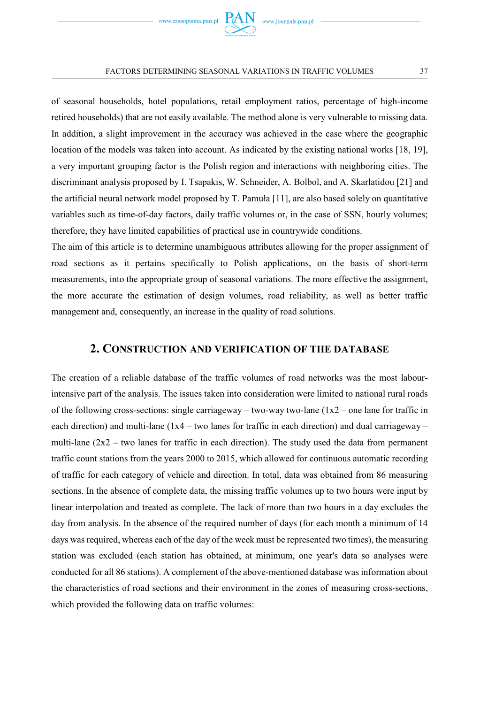of seasonal households, hotel populations, retail employment ratios, percentage of high-income retired households) that are not easily available. The method alone is very vulnerable to missing data. In addition, a slight improvement in the accuracy was achieved in the case where the geographic location of the models was taken into account. As indicated by the existing national works [18, 19], a very important grouping factor is the Polish region and interactions with neighboring cities. The discriminant analysis proposed by I. Tsapakis, W. Schneider, A. Bolbol, and A. Skarlatidou [21] and the artificial neural network model proposed by T. Pamuła [11], are also based solely on quantitative variables such as time-of-day factors, daily traffic volumes or, in the case of SSN, hourly volumes; therefore, they have limited capabilities of practical use in countrywide conditions.

The aim of this article is to determine unambiguous attributes allowing for the proper assignment of road sections as it pertains specifically to Polish applications, on the basis of short-term measurements, into the appropriate group of seasonal variations. The more effective the assignment, the more accurate the estimation of design volumes, road reliability, as well as better traffic management and, consequently, an increase in the quality of road solutions.

## **2. CONSTRUCTION AND VERIFICATION OF THE DATABASE**

The creation of a reliable database of the traffic volumes of road networks was the most labourintensive part of the analysis. The issues taken into consideration were limited to national rural roads of the following cross-sections: single carriageway – two-way two-lane ( $1x2$  – one lane for traffic in each direction) and multi-lane  $(1x4 - two$  lanes for traffic in each direction) and dual carriageway – multi-lane  $(2x^2 - two)$  lanes for traffic in each direction). The study used the data from permanent traffic count stations from the years 2000 to 2015, which allowed for continuous automatic recording of traffic for each category of vehicle and direction. In total, data was obtained from 86 measuring sections. In the absence of complete data, the missing traffic volumes up to two hours were input by linear interpolation and treated as complete. The lack of more than two hours in a day excludes the day from analysis. In the absence of the required number of days (for each month a minimum of 14 days was required, whereas each of the day of the week must be represented two times), the measuring station was excluded (each station has obtained, at minimum, one year's data so analyses were conducted for all 86 stations). A complement of the above-mentioned database was information about the characteristics of road sections and their environment in the zones of measuring cross-sections, which provided the following data on traffic volumes: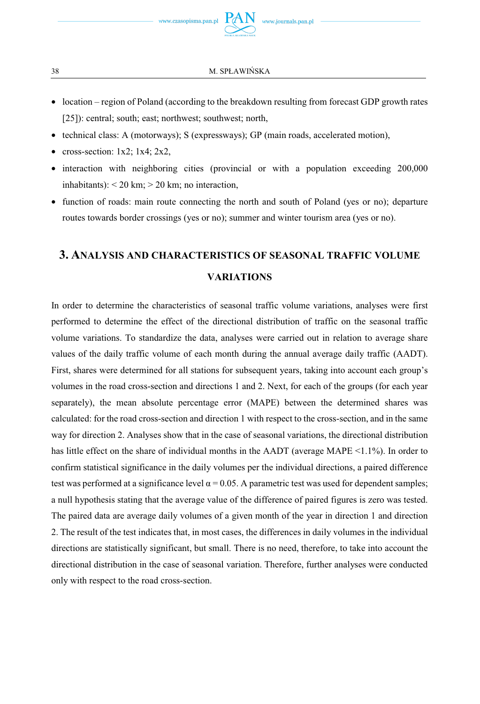38 M. SPŁAWIŃSKA

- location region of Poland (according to the breakdown resulting from forecast GDP growth rates [25]): central; south; east; northwest; southwest; north,
- technical class: A (motorways); S (expressways); GP (main roads, accelerated motion),
- cross-section:  $1x2$ ;  $1x4$ ;  $2x2$ ,
- interaction with neighboring cities (provincial or with a population exceeding 200,000 inhabitants):  $<$  20 km;  $>$  20 km; no interaction,
- function of roads: main route connecting the north and south of Poland (yes or no); departure routes towards border crossings (yes or no); summer and winter tourism area (yes or no).

## **3. ANALYSIS AND CHARACTERISTICS OF SEASONAL TRAFFIC VOLUME VARIATIONS**

In order to determine the characteristics of seasonal traffic volume variations, analyses were first performed to determine the effect of the directional distribution of traffic on the seasonal traffic volume variations. To standardize the data, analyses were carried out in relation to average share values of the daily traffic volume of each month during the annual average daily traffic (AADT). First, shares were determined for all stations for subsequent years, taking into account each group's volumes in the road cross-section and directions 1 and 2. Next, for each of the groups (for each year separately), the mean absolute percentage error (MAPE) between the determined shares was calculated: for the road cross-section and direction 1 with respect to the cross-section, and in the same way for direction 2. Analyses show that in the case of seasonal variations, the directional distribution has little effect on the share of individual months in the AADT (average MAPE <1.1%). In order to confirm statistical significance in the daily volumes per the individual directions, a paired difference test was performed at a significance level  $\alpha$  = 0.05. A parametric test was used for dependent samples; a null hypothesis stating that the average value of the difference of paired figures is zero was tested. The paired data are average daily volumes of a given month of the year in direction 1 and direction 2. The result of the test indicates that, in most cases, the differences in daily volumes in the individual directions are statistically significant, but small. There is no need, therefore, to take into account the directional distribution in the case of seasonal variation. Therefore, further analyses were conducted only with respect to the road cross-section.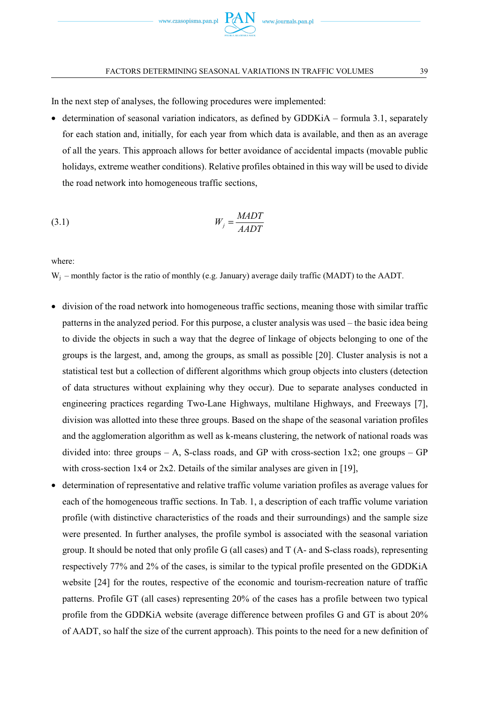In the next step of analyses, the following procedures were implemented:

• determination of seasonal variation indicators, as defined by GDDKiA – formula 3.1, separately for each station and, initially, for each year from which data is available, and then as an average of all the years. This approach allows for better avoidance of accidental impacts (movable public holidays, extreme weather conditions). Relative profiles obtained in this way will be used to divide the road network into homogeneous traffic sections,

$$
W_j = \frac{MADT}{AADT}
$$

where:

 $W_i$  – monthly factor is the ratio of monthly (e.g. January) average daily traffic (MADT) to the AADT.

- division of the road network into homogeneous traffic sections, meaning those with similar traffic patterns in the analyzed period. For this purpose, a cluster analysis was used – the basic idea being to divide the objects in such a way that the degree of linkage of objects belonging to one of the groups is the largest, and, among the groups, as small as possible [20]. Cluster analysis is not a statistical test but a collection of different algorithms which group objects into clusters (detection of data structures without explaining why they occur). Due to separate analyses conducted in engineering practices regarding Two-Lane Highways, multilane Highways, and Freeways [7], division was allotted into these three groups. Based on the shape of the seasonal variation profiles and the agglomeration algorithm as well as k-means clustering, the network of national roads was divided into: three groups – A, S-class roads, and GP with cross-section  $1x2$ ; one groups – GP with cross-section 1x4 or 2x2. Details of the similar analyses are given in [19],
- determination of representative and relative traffic volume variation profiles as average values for each of the homogeneous traffic sections. In Tab. 1, a description of each traffic volume variation profile (with distinctive characteristics of the roads and their surroundings) and the sample size were presented. In further analyses, the profile symbol is associated with the seasonal variation group. It should be noted that only profile G (all cases) and T (A- and S-class roads), representing respectively 77% and 2% of the cases, is similar to the typical profile presented on the GDDKiA website [24] for the routes, respective of the economic and tourism-recreation nature of traffic patterns. Profile GT (all cases) representing 20% of the cases has a profile between two typical profile from the GDDKiA website (average difference between profiles G and GT is about 20% of AADT, so half the size of the current approach). This points to the need for a new definition of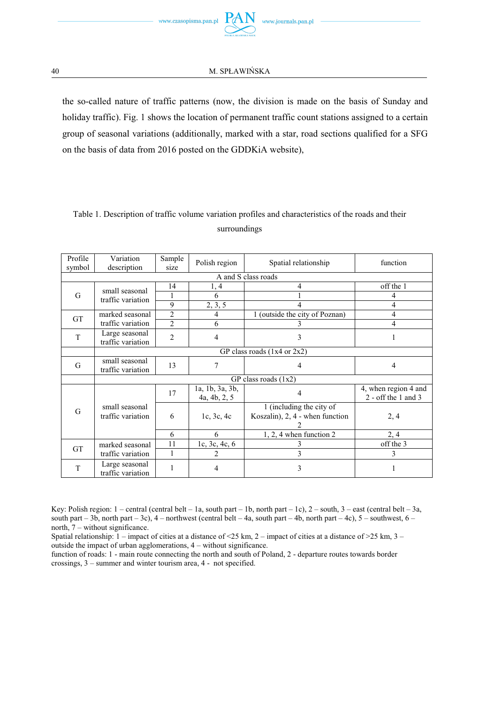the so-called nature of traffic patterns (now, the division is made on the basis of Sunday and holiday traffic). Fig. 1 shows the location of permanent traffic count stations assigned to a certain group of seasonal variations (additionally, marked with a star, road sections qualified for a SFG on the basis of data from 2016 posted on the GDDKiA website),

| Profile             | Variation                                 | Sample         |                                 | Polish region<br>Spatial relationship                       |                                             |  |  |  |
|---------------------|-------------------------------------------|----------------|---------------------------------|-------------------------------------------------------------|---------------------------------------------|--|--|--|
| symbol              | description                               | size           |                                 |                                                             | function                                    |  |  |  |
| A and S class roads |                                           |                |                                 |                                                             |                                             |  |  |  |
| G                   | small seasonal<br>traffic variation       | 14             | 1, 4                            | 4                                                           | off the 1                                   |  |  |  |
|                     |                                           |                | 6                               |                                                             | 4                                           |  |  |  |
|                     |                                           | 9              | 2, 3, 5                         | 4                                                           | $\overline{4}$                              |  |  |  |
|                     | marked seasonal                           | $\overline{2}$ | 4                               | 1 (outside the city of Poznan)                              | 4                                           |  |  |  |
| GT                  | traffic variation                         | $\overline{2}$ | 6                               |                                                             | 4                                           |  |  |  |
| T                   | Large seasonal<br>traffic variation       | $\overline{2}$ | 4                               | 3                                                           |                                             |  |  |  |
|                     | GP class roads $(1x4$ or $2x2)$           |                |                                 |                                                             |                                             |  |  |  |
| G                   | small seasonal<br>13<br>traffic variation |                | 7                               | 4                                                           | $\overline{4}$                              |  |  |  |
|                     | GP class roads $(1x2)$                    |                |                                 |                                                             |                                             |  |  |  |
|                     |                                           | 17             | 1a, 1b, 3a, 3b,<br>4a, 4b, 2, 5 | 4                                                           | 4, when region 4 and<br>2 - off the 1 and 3 |  |  |  |
| G                   | small seasonal<br>traffic variation       | 6              | 1c, 3c, 4c                      | 1 (including the city of<br>Koszalin), 2, 4 - when function | 2, 4                                        |  |  |  |
|                     |                                           | 6              | 6                               | $1, 2, 4$ when function $2$                                 | 2, 4                                        |  |  |  |
| <b>GT</b>           | marked seasonal<br>traffic variation      | 11             | 1c, 3c, 4c, 6                   |                                                             | off the 3                                   |  |  |  |
|                     |                                           | 1              | 2                               | 3                                                           | 3                                           |  |  |  |
| T                   | Large seasonal<br>traffic variation       | 1              | 4                               | 3                                                           |                                             |  |  |  |

## Table 1. Description of traffic volume variation profiles and characteristics of the roads and their surroundings

Key: Polish region:  $1$  – central (central belt – 1a, south part – 1b, north part – 1c),  $2$  – south,  $3$  – east (central belt – 3a, south part – 3b, north part – 3c),  $4$  – northwest (central belt – 4a, south part – 4b, north part – 4c),  $5$  – southwest,  $6$  – north, 7 – without significance.

Spatial relationship:  $1 -$  impact of cities at a distance of <25 km,  $2 -$  impact of cities at a distance of >25 km,  $3$ outside the impact of urban agglomerations, 4 – without significance.

function of roads: 1 - main route connecting the north and south of Poland, 2 - departure routes towards border crossings, 3 – summer and winter tourism area, 4 - not specified.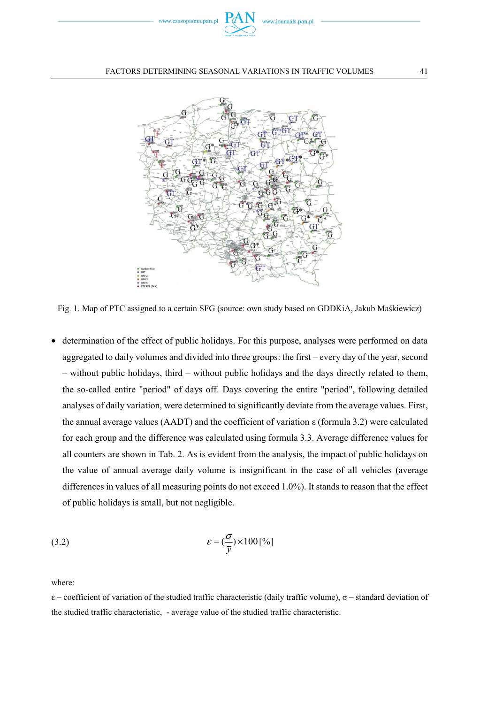



Fig. 1. Map of PTC assigned to a certain SFG (source: own study based on GDDKiA, Jakub Makiewicz)

• determination of the effect of public holidays. For this purpose, analyses were performed on data aggregated to daily volumes and divided into three groups: the first – every day of the year, second – without public holidays, third – without public holidays and the days directly related to them, the so-called entire "period" of days off. Days covering the entire "period", following detailed analyses of daily variation, were determined to significantly deviate from the average values. First, the annual average values (AADT) and the coefficient of variation  $\varepsilon$  (formula 3.2) were calculated for each group and the difference was calculated using formula 3.3. Average difference values for all counters are shown in Tab. 2. As is evident from the analysis, the impact of public holidays on the value of annual average daily volume is insignificant in the case of all vehicles (average differences in values of all measuring points do not exceed 1.0%). It stands to reason that the effect of public holidays is small, but not negligible.

(3.2) 
$$
\mathcal{E} = (\frac{\sigma}{\bar{y}}) \times 100^{\text{[96]}}
$$

where:

 $\varepsilon$  – coefficient of variation of the studied traffic characteristic (daily traffic volume),  $\sigma$  – standard deviation of the studied traffic characteristic, - average value of the studied traffic characteristic.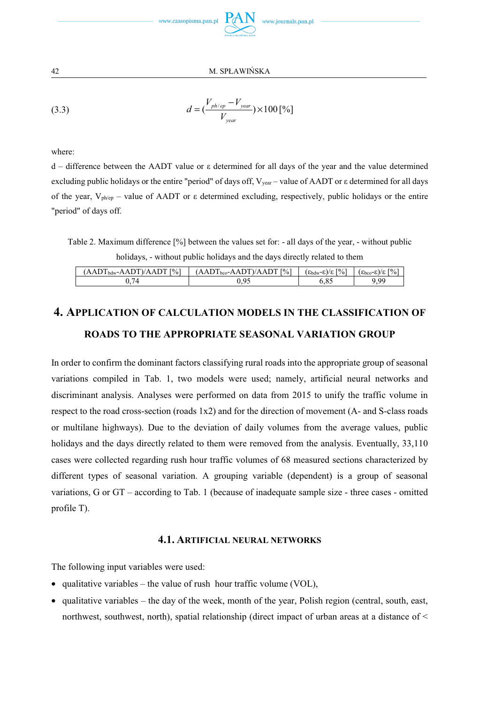

(3.3) 
$$
d = \left(\frac{V_{ph/ep} - V_{year}}{V_{year}}\right) \times 100\,[^{\circ}\%]
$$

where:

 $d -$  difference between the AADT value or  $\varepsilon$  determined for all days of the year and the value determined excluding public holidays or the entire "period" of days off,  $V_{\text{year}}$  – value of AADT or  $\varepsilon$  determined for all days of the year,  $V_{phcp}$  – value of AADT or  $\varepsilon$  determined excluding, respectively, public holidays or the entire "period" of days off.

Table 2. Maximum difference [%] between the values set for: - all days of the year, - without public holidays, - without public holidays and the days directly related to them

| $(AADT_{bdw} - AADT)/AADT$ [%] | $(AADT_{bco} - AADT)/AADT$ [%] | $(\epsilon_{\text{bdw}} - \epsilon)/\epsilon$ [%] | $(\epsilon_{\text{bco}}-\epsilon)/\epsilon$  % |
|--------------------------------|--------------------------------|---------------------------------------------------|------------------------------------------------|
| 74                             |                                |                                                   | $\alpha$                                       |

## **4. APPLICATION OF CALCULATION MODELS IN THE CLASSIFICATION OF ROADS TO THE APPROPRIATE SEASONAL VARIATION GROUP**

In order to confirm the dominant factors classifying rural roads into the appropriate group of seasonal variations compiled in Tab. 1, two models were used; namely, artificial neural networks and discriminant analysis. Analyses were performed on data from 2015 to unify the traffic volume in respect to the road cross-section (roads 1x2) and for the direction of movement (A- and S-class roads or multilane highways). Due to the deviation of daily volumes from the average values, public holidays and the days directly related to them were removed from the analysis. Eventually, 33,110 cases were collected regarding rush hour traffic volumes of 68 measured sections characterized by different types of seasonal variation. A grouping variable (dependent) is a group of seasonal variations, G or GT – according to Tab. 1 (because of inadequate sample size - three cases - omitted profile T).

### **4.1. ARTIFICIAL NEURAL NETWORKS**

The following input variables were used:

- qualitative variables the value of rush hour traffic volume (VOL),
- qualitative variables the day of the week, month of the year, Polish region (central, south, east, northwest, southwest, north), spatial relationship (direct impact of urban areas at a distance of  $\leq$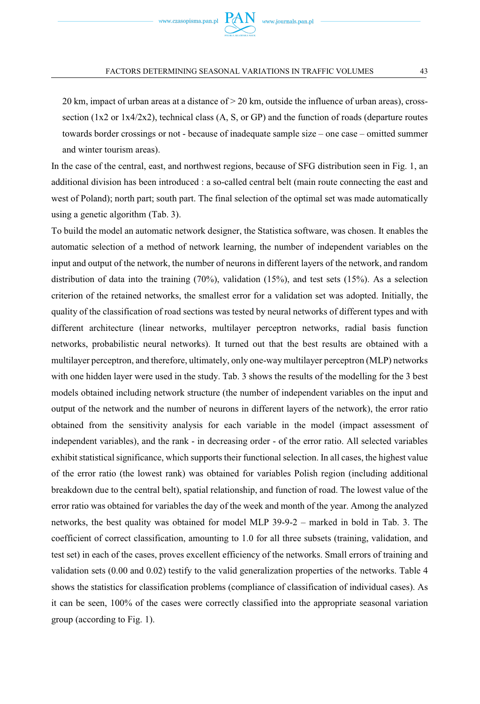$20 \text{ km}$ , impact of urban areas at a distance of  $> 20 \text{ km}$ , outside the influence of urban areas), crosssection ( $1x2$  or  $1x4/2x2$ ), technical class (A, S, or GP) and the function of roads (departure routes towards border crossings or not - because of inadequate sample size – one case – omitted summer and winter tourism areas).

In the case of the central, east, and northwest regions, because of SFG distribution seen in Fig. 1, an additional division has been introduced : a so-called central belt (main route connecting the east and west of Poland); north part; south part. The final selection of the optimal set was made automatically using a genetic algorithm (Tab. 3).

To build the model an automatic network designer, the Statistica software, was chosen. It enables the automatic selection of a method of network learning, the number of independent variables on the input and output of the network, the number of neurons in different layers of the network, and random distribution of data into the training (70%), validation (15%), and test sets (15%). As a selection criterion of the retained networks, the smallest error for a validation set was adopted. Initially, the quality of the classification of road sections was tested by neural networks of different types and with different architecture (linear networks, multilayer perceptron networks, radial basis function networks, probabilistic neural networks). It turned out that the best results are obtained with a multilayer perceptron, and therefore, ultimately, only one-way multilayer perceptron (MLP) networks with one hidden layer were used in the study. Tab. 3 shows the results of the modelling for the 3 best models obtained including network structure (the number of independent variables on the input and output of the network and the number of neurons in different layers of the network), the error ratio obtained from the sensitivity analysis for each variable in the model (impact assessment of independent variables), and the rank - in decreasing order - of the error ratio. All selected variables exhibit statistical significance, which supports their functional selection. In all cases, the highest value of the error ratio (the lowest rank) was obtained for variables Polish region (including additional breakdown due to the central belt), spatial relationship, and function of road. The lowest value of the error ratio was obtained for variables the day of the week and month of the year. Among the analyzed networks, the best quality was obtained for model MLP 39-9-2 – marked in bold in Tab. 3. The coefficient of correct classification, amounting to 1.0 for all three subsets (training, validation, and test set) in each of the cases, proves excellent efficiency of the networks. Small errors of training and validation sets (0.00 and 0.02) testify to the valid generalization properties of the networks. Table 4 shows the statistics for classification problems (compliance of classification of individual cases). As it can be seen, 100% of the cases were correctly classified into the appropriate seasonal variation group (according to Fig. 1).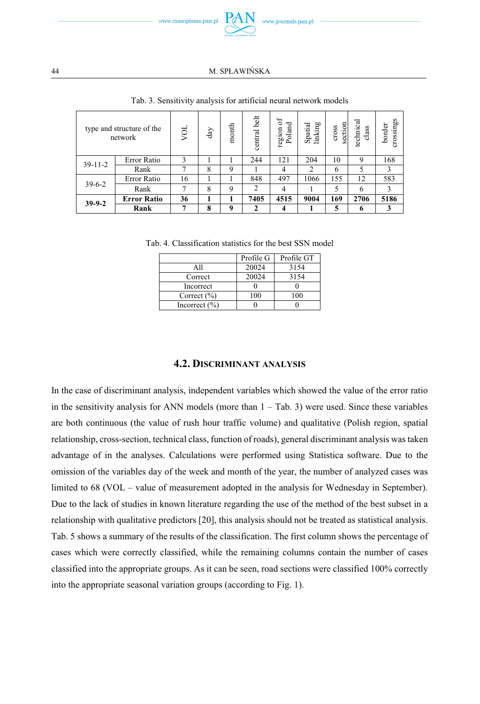

|           | type and structure of the<br>network | λÖ | $_{\rm day}$ | month | belt<br>central | 5<br>Poland<br>region | Spatial<br>linking | section<br>cross | technical<br>class | crossings<br>border |
|-----------|--------------------------------------|----|--------------|-------|-----------------|-----------------------|--------------------|------------------|--------------------|---------------------|
| $39-11-2$ | Error Ratio                          | 3  |              |       | 244             | 121                   | 204                | 10               | 9                  | 168                 |
|           | Rank                                 | п  | 8            | 9     |                 | 4                     | $\mathfrak{D}$     | 6                | 5                  | 3                   |
| $39-6-2$  | Error Ratio                          | 16 |              |       | 848             | 497                   | 1066               | 155              | 12                 | 583                 |
|           | Rank                                 | 7  | 8            | 9     | 2               | 4                     |                    | 5                | 6                  | 3                   |
| $39-9-2$  | <b>Error Ratio</b>                   | 36 |              | н     | 7405            | 4515                  | 9004               | 169              | 2706               | 5186                |
|           | Rank                                 | ⇁  | 8            | 9     | 2               | 4                     |                    | 5                | 6                  | 3                   |

Tab. 3. Sensitivity analysis for artificial neural network models

Tab. 4. Classification statistics for the best SSN model

|                   | Profile G | Profile GT |
|-------------------|-----------|------------|
| A11               | 20024     | 3154       |
| Correct           | 20024     | 3154       |
| Incorrect         |           |            |
| Correct $(\% )$   | 100       | 100        |
| Incorrect $(\% )$ |           |            |

#### **4.2. DISCRIMINANT ANALYSIS**

In the case of discriminant analysis, independent variables which showed the value of the error ratio in the sensitivity analysis for ANN models (more than  $1 -$  Tab. 3) were used. Since these variables are both continuous (the value of rush hour traffic volume) and qualitative (Polish region, spatial relationship, cross-section, technical class, function of roads), general discriminant analysis was taken advantage of in the analyses. Calculations were performed using Statistica software. Due to the omission of the variables day of the week and month of the year, the number of analyzed cases was limited to 68 (VOL – value of measurement adopted in the analysis for Wednesday in September). Due to the lack of studies in known literature regarding the use of the method of the best subset in a relationship with qualitative predictors [20], this analysis should not be treated as statistical analysis. Tab. 5 shows a summary of the results of the classification. The first column shows the percentage of cases which were correctly classified, while the remaining columns contain the number of cases classified into the appropriate groups. As it can be seen, road sections were classified 100% correctly into the appropriate seasonal variation groups (according to Fig. 1).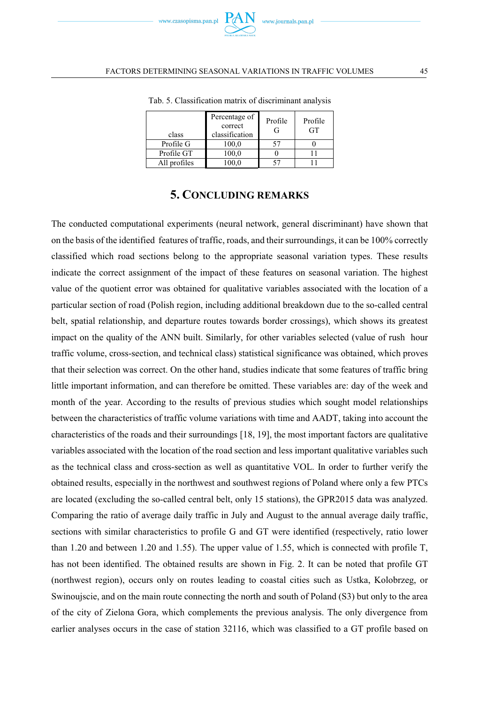| class        | Percentage of<br>correct<br>classification | Profile<br>G | Profile<br>GT |
|--------------|--------------------------------------------|--------------|---------------|
| Profile G    | 100.0                                      | 57           |               |
| Profile GT   | 100.0                                      |              |               |
| All profiles | 100.0                                      |              |               |

Tab. 5. Classification matrix of discriminant analysis

## **5. CONCLUDING REMARKS**

The conducted computational experiments (neural network, general discriminant) have shown that on the basis of the identified features of traffic, roads, and their surroundings, it can be 100% correctly classified which road sections belong to the appropriate seasonal variation types. These results indicate the correct assignment of the impact of these features on seasonal variation. The highest value of the quotient error was obtained for qualitative variables associated with the location of a particular section of road (Polish region, including additional breakdown due to the so-called central belt, spatial relationship, and departure routes towards border crossings), which shows its greatest impact on the quality of the ANN built. Similarly, for other variables selected (value of rush hour traffic volume, cross-section, and technical class) statistical significance was obtained, which proves that their selection was correct. On the other hand, studies indicate that some features of traffic bring little important information, and can therefore be omitted. These variables are: day of the week and month of the year. According to the results of previous studies which sought model relationships between the characteristics of traffic volume variations with time and AADT, taking into account the characteristics of the roads and their surroundings [18, 19], the most important factors are qualitative variables associated with the location of the road section and less important qualitative variables such as the technical class and cross-section as well as quantitative VOL. In order to further verify the obtained results, especially in the northwest and southwest regions of Poland where only a few PTCs are located (excluding the so-called central belt, only 15 stations), the GPR2015 data was analyzed. Comparing the ratio of average daily traffic in July and August to the annual average daily traffic, sections with similar characteristics to profile G and GT were identified (respectively, ratio lower than 1.20 and between 1.20 and 1.55). The upper value of 1.55, which is connected with profile T, has not been identified. The obtained results are shown in Fig. 2. It can be noted that profile GT (northwest region), occurs only on routes leading to coastal cities such as Ustka, Kolobrzeg, or Swinoujscie, and on the main route connecting the north and south of Poland (S3) but only to the area of the city of Zielona Gora, which complements the previous analysis. The only divergence from earlier analyses occurs in the case of station 32116, which was classified to a GT profile based on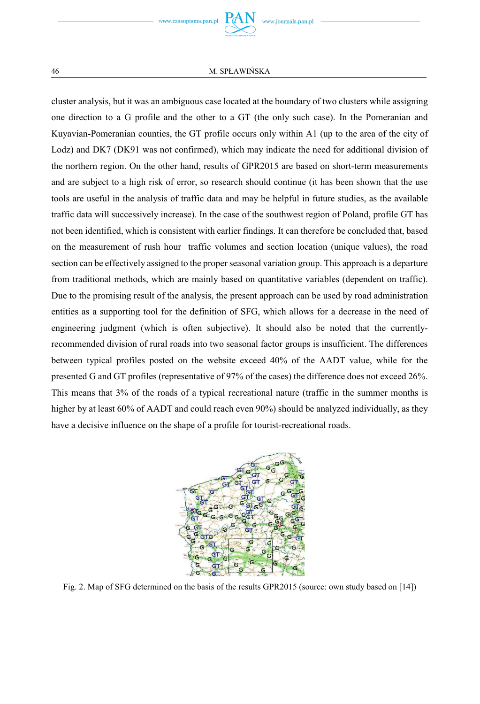cluster analysis, but it was an ambiguous case located at the boundary of two clusters while assigning one direction to a G profile and the other to a GT (the only such case). In the Pomeranian and Kuyavian-Pomeranian counties, the GT profile occurs only within A1 (up to the area of the city of Lodz) and DK7 (DK91 was not confirmed), which may indicate the need for additional division of the northern region. On the other hand, results of GPR2015 are based on short-term measurements and are subject to a high risk of error, so research should continue (it has been shown that the use tools are useful in the analysis of traffic data and may be helpful in future studies, as the available traffic data will successively increase). In the case of the southwest region of Poland, profile GT has not been identified, which is consistent with earlier findings. It can therefore be concluded that, based on the measurement of rush hour traffic volumes and section location (unique values), the road section can be effectively assigned to the proper seasonal variation group. This approach is a departure from traditional methods, which are mainly based on quantitative variables (dependent on traffic). Due to the promising result of the analysis, the present approach can be used by road administration entities as a supporting tool for the definition of SFG, which allows for a decrease in the need of engineering judgment (which is often subjective). It should also be noted that the currentlyrecommended division of rural roads into two seasonal factor groups is insufficient. The differences between typical profiles posted on the website exceed 40% of the AADT value, while for the presented G and GT profiles (representative of 97% of the cases) the difference does not exceed 26%. This means that 3% of the roads of a typical recreational nature (traffic in the summer months is higher by at least 60% of AADT and could reach even 90%) should be analyzed individually, as they have a decisive influence on the shape of a profile for tourist-recreational roads.



Fig. 2. Map of SFG determined on the basis of the results GPR2015 (source: own study based on [14])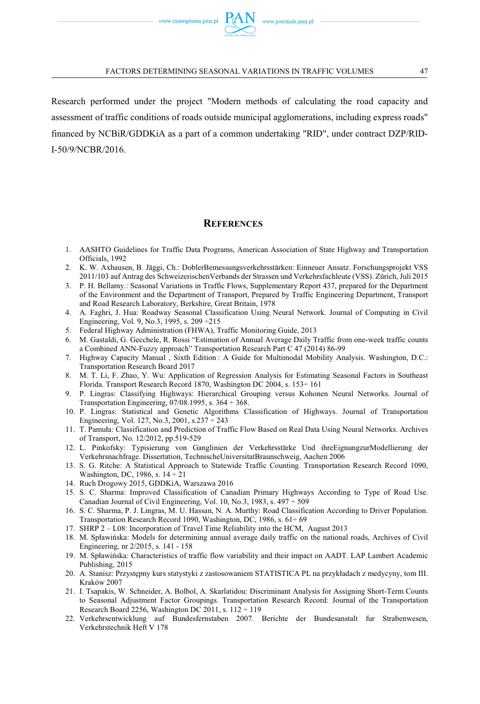Research performed under the project "Modern methods of calculating the road capacity and assessment of traffic conditions of roads outside municipal agglomerations, including express roads" financed by NCBiR/GDDKiA as a part of a common undertaking "RID", under contract DZP/RID-I-50/9/NCBR/2016.

## **REFERENCES**

- 1. AASHTO Guidelines for Traffic Data Programs, American Association of State Highway and Transportation Officials, 1992
- 2. K. W. Axhausen, B. Jäggi, Ch.: DoblerBemessungsverkehrsstärken: Einneuer Ansatz. Forschungsprojekt VSS 2011/103 auf Antrag des SchweizerischenVerbands der Strassen und Verkehrsfachleute (VSS). Zürich, Juli 2015
- 3. P. H. Bellamy.: Seasonal Variations in Traffic Flows, Supplementary Report 437, prepared for the Department of the Environment and the Department of Transport, Prepared by Traffic Engineering Department, Transport and Road Research Laboratory, Berkshire, Great Britain, 1978
- 4. A. Faghri, J. Hua: Roadway Seasonal Classification Using Neural Network. Journal of Computing in Civil Engineering, Vol. 9, No.3, 1995, s. 209 ÷215
- 5. Federal Highway Administration (FHWA), Traffic Monitoring Guide, 2013
- 6. M. Gastaldi, G. Gecchele, R. Rossi "Estimation of Annual Average Daily Traffic from one-week traffic counts a Combined ANN-Fuzzy approach" Transportation Research Part C 47 (2014) 86-99
- 7. Highway Capacity Manual , Sixth Edition : A Guide for Multimodal Mobility Analysis. Washington, D.C.: Transportation Research Board 2017
- 8. M. T. Li, F. Zhao, Y. Wu: Application of Regression Analysis for Estimating Seasonal Factors in Southeast Florida. Transport Research Record 1870, Washington DC 2004, s. 153÷ 161
- 9. P. Lingras: Classifying Highways: Hierarchical Grouping versus Kohonen Neural Networks. Journal of Transportation Engineering,  $07/08.1995$ , s.  $364 \div 368$ .
- 10. P. Lingras: Statistical and Genetic Algorithms Classification of Highways. Journal of Transportation Engineering, Vol. 127, No.3, 2001, s.237 ÷ 243
- 11. T. Pamuła: Classification and Prediction of Traffic Flow Based on Real Data Using Neural Networks. Archives of Transport, No. 12/2012, pp.519-529
- 12. L. Pinkofsky: Typisierung von Ganglinien der Verkehrsstärke Und ihreEignungzurModellierung der Verkehrsnachfrage. Dissertation, TechnischeUniversitatBraunschweig, Aachen 2006
- 13. S. G. Ritche: A Statistical Approach to Statewide Traffic Counting. Transportation Research Record 1090, Washington, DC, 1986, s. 14 ÷ 21
- 14. Ruch Drogowy 2015, GDDKiA, Warszawa 2016
- 15. S. C. Sharma: Improved Classification of Canadian Primary Highways According to Type of Road Use. Canadian Journal of Civil Engineering, Vol. 10, No.3, 1983, s. 497 ÷ 509
- 16. S. C. Sharma, P. J. Lingras, M. U. Hassan, N. A. Murthy: Road Classification According to Driver Population. Transportation Research Record 1090, Washington, DC, 1986, s. 61÷ 69
- 17. SHRP 2 L08: Incorporation of Travel Time Reliability into the HCM, August 2013
- 18. M. Spławińska: Models for determining annual average daily traffic on the national roads, Archives of Civil Engineering, nr 2/2015, s. 141 - 158
- 19. M. Spławińska: Characteristics of traffic flow variability and their impact on AADT. LAP Lambert Academic Publishing, 2015
- 20. A. Stanisz: Przyst pny kurs statystyki z zastosowaniem STATISTICA PL na przykładach z medycyny, tom III. Kraków 2007
- 21. I. Tsapakis, W. Schneider, A. Bolbol, A. Skarlatidou: Discriminant Analysis for Assigning Short-Term Counts to Seasonal Adjustment Factor Groupings. Transportation Research Record: Journal of the Transportation Research Board 2256, Washington DC 2011, s.  $112 \div 119$
- 22. Verkehrsentwicklung auf Bundesfernstaben 2007. Berichte der Bundesanstalt fur Strabenwesen, Verkehrstechnik Heft V 178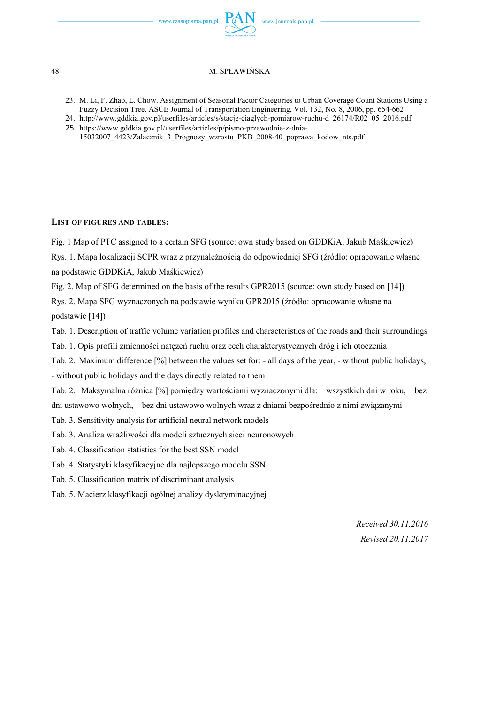www.czasopisma.pan.pl



48 M. SP-AWISKA

- 23. M. Li, F. Zhao, L. Chow. Assignment of Seasonal Factor Categories to Urban Coverage Count Stations Using a Fuzzy Decision Tree. ASCE Journal of Transportation Engineering, Vol. 132, No. 8, 2006, pp. 654-662
- 24. http://www.gddkia.gov.pl/userfiles/articles/s/stacje-ciaglych-pomiarow-ruchu-d\_26174/R02\_05\_2016.pdf
- 25. https://www.gddkia.gov.pl/userfiles/articles/p/pismo-przewodnie-z-dnia-
- 15032007\_4423/Zalacznik\_3\_Prognozy\_wzrostu\_PKB\_2008-40\_poprawa\_kodow\_nts.pdf

#### **LIST OF FIGURES AND TABLES:**

Fig. 1 Map of PTC assigned to a certain SFG (source: own study based on GDDKiA, Jakub Makiewicz)

Rys. 1. Mapa lokalizacji SCPR wraz z przynależnością do odpowiedniej SFG (źródło: opracowanie własne na podstawie GDDKiA, Jakub Maśkiewicz)

Fig. 2. Map of SFG determined on the basis of the results GPR2015 (source: own study based on [14])

Rys. 2. Mapa SFG wyznaczonych na podstawie wyniku GPR2015 (źródło: opracowanie własne na podstawie [14])

Tab. 1. Description of traffic volume variation profiles and characteristics of the roads and their surroundings

Tab. 1. Opis profili zmienności natężeń ruchu oraz cech charakterystycznych dróg i ich otoczenia

Tab. 2. Maximum difference [%] between the values set for: - all days of the year, - without public holidays, - without public holidays and the days directly related to them

Tab. 2. Maksymalna różnica [%] pomiędzy wartościami wyznaczonymi dla: – wszystkich dni w roku, – bez dni ustawowo wolnych, – bez dni ustawowo wolnych wraz z dniami bezpośrednio z nimi związanymi

Tab. 3. Sensitivity analysis for artificial neural network models

Tab. 3. Analiza wrażliwości dla modeli sztucznych sieci neuronowych

Tab. 4. Classification statistics for the best SSN model

Tab. 4. Statystyki klasyfikacyjne dla najlepszego modelu SSN

Tab. 5. Classification matrix of discriminant analysis

Tab. 5. Macierz klasyfikacji ogólnej analizy dyskryminacyjnej

*Received 30.11.2016 Revised 20.11.2017*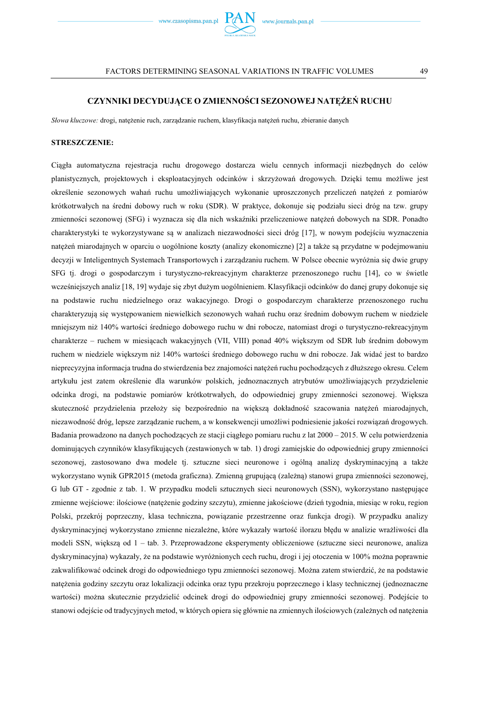

### **CZYNNIKI DECYDUJCE O ZMIENNOCI SEZONOWEJ NATE- RUCHU**

Słowa kluczowe: drogi, natężenie ruch, zarządzanie ruchem, klasyfikacja natężeń ruchu, zbieranie danych

#### **STRESZCZENIE:**

Cigła automatyczna rejestracja ruchu drogowego dostarcza wielu cennych informacji niezb dnych do celów planistycznych, projektowych i eksploatacyjnych odcinków i skrzyżowań drogowych. Dzięki temu możliwe jest określenie sezonowych wahań ruchu umożliwiających wykonanie uproszczonych przeliczeń natężeń z pomiarów krótkotrwałych na średni dobowy ruch w roku (SDR). W praktyce, dokonuje się podziału sieci dróg na tzw. grupy zmienności sezonowej (SFG) i wyznacza się dla nich wskaźniki przeliczeniowe natężeń dobowych na SDR. Ponadto charakterystyki te wykorzystywane są w analizach niezawodności sieci dróg [17], w nowym podejściu wyznaczenia natężeń miarodajnych w oparciu o uogólnione koszty (analizy ekonomiczne) [2] a także są przydatne w podejmowaniu decyzji w Inteligentnych Systemach Transportowych i zarządzaniu ruchem. W Polsce obecnie wyróżnia się dwie grupy SFG tj. drogi o gospodarczym i turystyczno-rekreacyjnym charakterze przenoszonego ruchu [14], co w świetle wcześniejszych analiz [18, 19] wydaje się zbyt dużym uogólnieniem. Klasyfikacji odcinków do danej grupy dokonuje się na podstawie ruchu niedzielnego oraz wakacyjnego. Drogi o gospodarczym charakterze przenoszonego ruchu charakteryzują się występowaniem niewielkich sezonowych wahań ruchu oraz średnim dobowym ruchem w niedziele mniejszym niż 140% wartości średniego dobowego ruchu w dni robocze, natomiast drogi o turystyczno-rekreacyjnym charakterze – ruchem w miesiącach wakacyjnych (VII, VIII) ponad 40% większym od SDR lub średnim dobowym ruchem w niedziele większym niż 140% wartości średniego dobowego ruchu w dni robocze. Jak widać jest to bardzo nieprecyzyjna informacja trudna do stwierdzenia bez znajomości natężeń ruchu pochodzących z dłuższego okresu. Celem artykułu jest zatem określenie dla warunków polskich, jednoznacznych atrybutów umożliwiających przydzielenie odcinka drogi, na podstawie pomiarów krótkotrwałych, do odpowiedniej grupy zmienności sezonowej. Większa skuteczność przydzielenia przełoży się bezpośrednio na większą dokładność szacowania natężeń miarodajnych, niezawodność dróg, lepsze zarzadzanie ruchem, a w konsekwencji umożliwi podniesienie jakości rozwiazań drogowych. Badania prowadzono na danych pochodzących ze stacji ciągłego pomiaru ruchu z lat 2000 – 2015. W celu potwierdzenia dominujących czynników klasyfikujących (zestawionych w tab. 1) drogi zamiejskie do odpowiedniej grupy zmienności sezonowej, zastosowano dwa modele tj. sztuczne sieci neuronowe i ogólną analizę dyskryminacyjną a także wykorzystano wynik GPR2015 (metoda graficzna). Zmienną grupującą (zależną) stanowi grupa zmienności sezonowej, G lub GT - zgodnie z tab. 1. W przypadku modeli sztucznych sieci neuronowych (SSN), wykorzystano następujące zmienne wejściowe: ilościowe (natężenie godziny szczytu), zmienne jakościowe (dzień tygodnia, miesiąc w roku, region Polski, przekrój poprzeczny, klasa techniczna, powizanie przestrzenne oraz funkcja drogi). W przypadku analizy dyskryminacyjnej wykorzystano zmienne niezależne, które wykazały wartość ilorazu błędu w analizie wrażliwości dla modeli SSN, wi ksz od 1 – tab. 3. Przeprowadzone eksperymenty obliczeniowe (sztuczne sieci neuronowe, analiza dyskryminacyjna) wykazały, że na podstawie wyróżnionych cech ruchu, drogi i jej otoczenia w 100% można poprawnie zakwalifikować odcinek drogi do odpowiedniego typu zmienności sezonowej. Można zatem stwierdzić, że na podstawie natężenia godziny szczytu oraz lokalizacji odcinka oraz typu przekroju poprzecznego i klasy technicznej (jednoznaczne wartości) można skutecznie przydzielić odcinek drogi do odpowiedniej grupy zmienności sezonowej. Podejście to stanowi odejście od tradycyjnych metod, w których opiera się głównie na zmiennych ilościowych (zależnych od natężenia